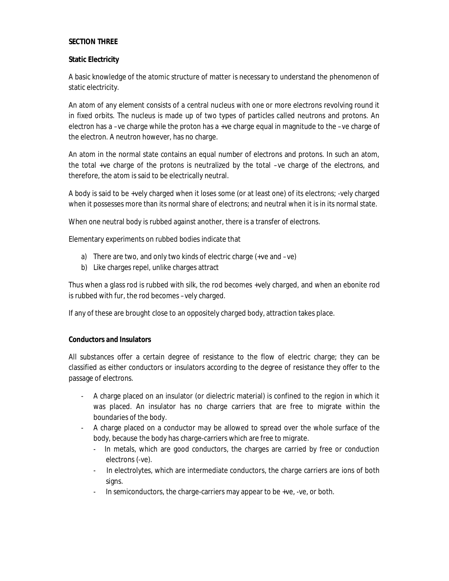## **SECTION THREE**

### **Static Electricity**

A basic knowledge of the atomic structure of matter is necessary to understand the phenomenon of static electricity.

An atom of any element consists of a central nucleus with one or more electrons revolving round it in fixed orbits. The nucleus is made up of two types of particles called neutrons and protons. An electron has a –ve charge while the proton has a +ve charge equal in magnitude to the –ve charge of the electron. A neutron however, has no charge.

An atom in the normal state contains an equal number of electrons and protons. In such an atom, the total +ve charge of the protons is neutralized by the total –ve charge of the electrons, and therefore, the atom is said to be electrically neutral.

A body is said to be +vely charged when it loses some (or at least one) of its electrons; -vely charged when it possesses more than its normal share of electrons; and neutral when it is in its normal state.

When one neutral body is rubbed against another, there is a transfer of electrons.

Elementary experiments on rubbed bodies indicate that

- a) There are two, and only two kinds of electric charge (+ve and –ve)
- b) Like charges repel, unlike charges attract

Thus when a glass rod is rubbed with silk, the rod becomes +vely charged, and when an ebonite rod is rubbed with fur, the rod becomes –vely charged.

If any of these are brought close to an oppositely charged body, attraction takes place.

## **Conductors and Insulators**

All substances offer a certain degree of resistance to the flow of electric charge; they can be classified as either conductors or insulators according to the degree of resistance they offer to the passage of electrons.

- A charge placed on an insulator (or dielectric material) is confined to the region in which it was placed. An insulator has no charge carriers that are free to migrate within the boundaries of the body.
- A charge placed on a conductor may be allowed to spread over the whole surface of the body, because the body has charge-carriers which are free to migrate.
	- In metals, which are good conductors, the charges are carried by free or conduction electrons (-ve).
	- In electrolytes, which are intermediate conductors, the charge carriers are ions of both signs.
	- In semiconductors, the charge-carriers may appear to be +ve, -ve, or both.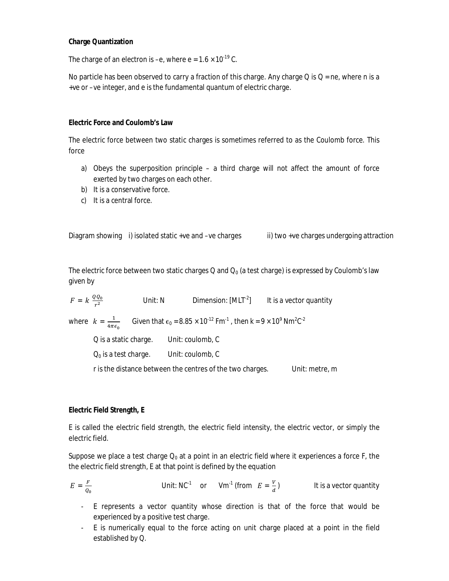### **Charge Quantization**

The charge of an electron is –e, where  $e = 1.6 \times 10^{-19}$  C.

No particle has been observed to carry a fraction of this charge. Any charge Q is  $Q = ne$ , where n is a +ve or –ve integer, and e is the fundamental quantum of electric charge.

#### **Electric Force and Coulomb's Law**

The electric force between two static charges is sometimes referred to as the Coulomb force. This force

- a) Obeys the superposition principle a third charge will not affect the amount of force exerted by two charges on each other.
- b) It is a conservative force.
- c) It is a central force.

Diagram showing i) isolated static +ve and -ve charges ii) two +ve charges undergoing attraction

The electric force between two static charges Q and  $Q_0$  (a test charge) is expressed by Coulomb's law given by

$$
F = k \frac{QQ_0}{r^2}
$$
 Unit: N Dimension: [MLT<sup>-2</sup>] It is a vector quantity

where  $k = \frac{1}{4\pi}$  $rac{1}{4\pi\epsilon_0}$  Given that  $\epsilon_0 = 8.85 \times 10^{-12}$  Fm<sup>-1</sup>, then k = 9 × 10<sup>9</sup> Nm<sup>2</sup>C<sup>-2</sup>

Q is a static charge. Unit: coulomb, C  $Q_0$  is a test charge. Unit: coulomb, C

r is the distance between the centres of the two charges. Unit: metre, m

## **Electric Field Strength, E**

E is called the electric field strength, the electric field intensity, the electric vector, or simply the electric field.

Suppose we place a test charge  $Q_0$  at a point in an electric field where it experiences a force F, the the electric field strength, E at that point is defined by the equation

$$
E = \frac{F}{\varrho_0}
$$
 Unit: NC<sup>-1</sup> or Vm<sup>-1</sup> (from  $E = \frac{V}{d}$ ) It is a vector quantity

- E represents a vector quantity whose direction is that of the force that would be experienced by a positive test charge.
- E is numerically equal to the force acting on unit charge placed at a point in the field established by Q.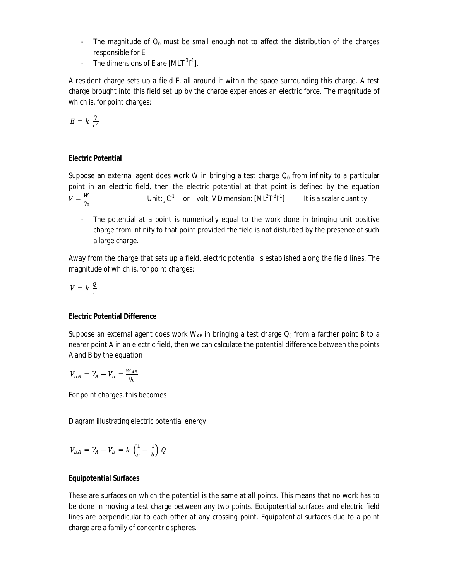- The magnitude of  $Q_0$  must be small enough not to affect the distribution of the charges responsible for E.
- The dimensions of E are  $[MLT^{-3}l^{-1}]$ .

A resident charge sets up a field E, all around it within the space surrounding this charge. A test charge brought into this field set up by the charge experiences an electric force. The magnitude of which is, for point charges:

$$
E = k \frac{Q}{r^2}
$$

# **Electric Potential**

Suppose an external agent does work W in bringing a test charge  $Q_0$  from infinity to a particular point in an electric field, then the electric potential at that point is defined by the equation  $V = \frac{W}{2}$  $Q_0$ Unit: JC $1$  or volt, V Dimension:  $[ML^2T^3]^{-1}$ It is a scalar quantity

- The potential at a point is numerically equal to the work done in bringing unit positive charge from infinity to that point provided the field is not disturbed by the presence of such a large charge.

Away from the charge that sets up a field, electric potential is established along the field lines. The magnitude of which is, for point charges:

$$
V = k \, \frac{q}{r}
$$

## **Electric Potential Difference**

Suppose an external agent does work  $W_{AB}$  in bringing a test charge  $Q_0$  from a farther point B to a nearer point A in an electric field, then we can calculate the potential difference between the points A and B by the equation

$$
V_{BA} = V_A - V_B = \frac{W_{AB}}{Q_0}
$$

For point charges, this becomes

Diagram illustrating electric potential energy

$$
V_{BA} = V_A - V_B = k \left(\frac{1}{a} - \frac{1}{b}\right) Q
$$

## **Equipotential Surfaces**

These are surfaces on which the potential is the same at all points. This means that no work has to be done in moving a test charge between any two points. Equipotential surfaces and electric field lines are perpendicular to each other at any crossing point. Equipotential surfaces due to a point charge are a family of concentric spheres.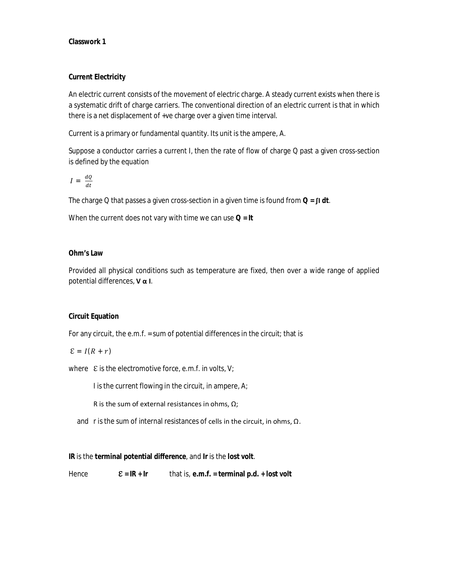## **Classwork 1**

## **Current Electricity**

An electric current consists of the movement of electric charge. A steady current exists when there is a systematic drift of charge carriers. The conventional direction of an electric current is that in which there is a net displacement of +ve charge over a given time interval.

Current is a primary or fundamental quantity. Its unit is the ampere, A.

Suppose a conductor carries a current I, then the rate of flow of charge Q past a given cross-section is defined by the equation

$$
I = \frac{dQ}{dt}
$$

The charge Q that passes a given cross-section in a given time is found from **Q = ∫I** *dt.*

When the current does not vary with time we can use **Q = It**

## **Ohm's Law**

Provided all physical conditions such as temperature are fixed, then over a wide range of applied potential differences, **V α I**.

## **Circuit Equation**

For any circuit, the e.m.f. = sum of potential differences in the circuit; that is

$$
\mathcal{E}=I(R+r)
$$

where  $\mathcal E$  is the electromotive force, e.m.f. in volts, V;

I is the current flowing in the circuit, in ampere, A;

R is the sum of external resistances in ohms,  $\Omega$ ;

and r is the sum of internal resistances of cells in the circuit, in ohms,  $\Omega$ .

**IR** is the **terminal potential difference**, and **Ir** is the **lost volt**.

Hence **ℇ = IR + Ir** that is, **e.m.f. = terminal p.d. + lost volt**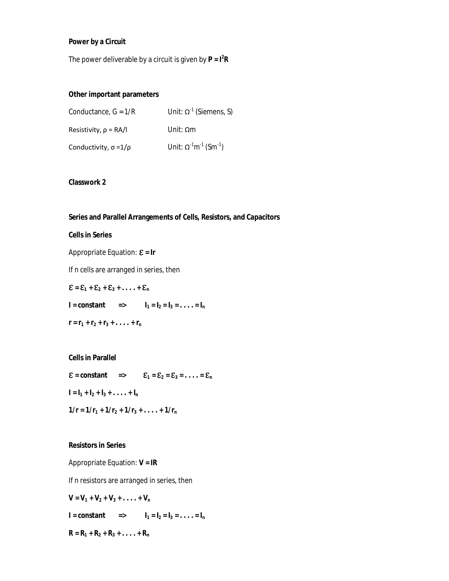### **Power by a Circuit**

The power deliverable by a circuit is given by **P = I<sup>2</sup> R**

## **Other important parameters**

| Conductance, $G = 1/R$          | Unit: $\Omega^{-1}$ (Siemens, S)                        |
|---------------------------------|---------------------------------------------------------|
| Resistivity, $\rho = RA/I$      | Unit: $Qm$                                              |
| Conductivity, $\sigma = 1/\rho$ | Unit: $\Omega^{-1}$ m <sup>-1</sup> (Sm <sup>-1</sup> ) |

## **Classwork 2**

### **Series and Parallel Arrangements of Cells, Resistors, and Capacitors**

#### **Cells in Series**

Appropriate Equation: **ℇ = Ir**

If n cells are arranged in series, then

 $\mathcal{E} = \mathcal{E}_1 + \mathcal{E}_2 + \mathcal{E}_3 + \ldots + \mathcal{E}_n$ 

**I** = constant =>  $I_1 = I_2 = I_3 = ... = I_n$ 

$$
\mathbf{r} = \mathbf{r}_1 + \mathbf{r}_2 + \mathbf{r}_3 + \ldots + \mathbf{r}_n
$$

#### **Cells in Parallel**

- $\mathcal{E}$  = constant =>  $\mathcal{E}_1 = \mathcal{E}_2 = \mathcal{E}_3 = \dots = \mathcal{E}_n$
- $I = I_1 + I_2 + I_3 + \ldots + I_n$
- $1/r = 1/r_1 + 1/r_2 + 1/r_3 + \ldots + 1/r_n$

#### **Resistors in Series**

Appropriate Equation: **V = IR**

If n resistors are arranged in series, then

$$
V = V_1 + V_2 + V_3 + \ldots + V_n
$$

 $I = constant$  =>  $I_1 = I_2 = I_3 = ... = I_n$ 

 $R = R_1 + R_2 + R_3 + \ldots + R_n$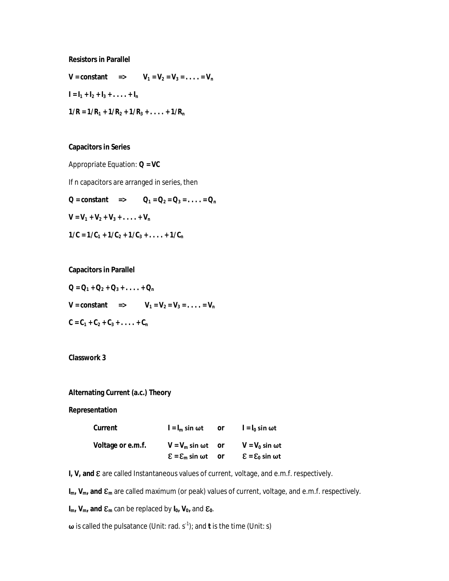**Resistors in Parallel**

 $V =$  **constant =>**  $V_1 = V_2 = V_3 = \ldots = V_n$  $I = I_1 + I_2 + I_3 + \ldots + I_n$  $1/R = 1/R_1 + 1/R_2 + 1/R_3 + ... + 1/R_n$ 

#### **Capacitors in Series**

Appropriate Equation: **Q = VC**

If n capacitors are arranged in series, then

 $Q =$  **constant =>**  $Q_1 = Q_2 = Q_3 = \dots = Q_n$  $V = V_1 + V_2 + V_3 + \ldots + V_n$  $1/C = 1/C_1 + 1/C_2 + 1/C_3 + \ldots + 1/C_n$ 

**Capacitors in Parallel**

 $Q = Q_1 + Q_2 + Q_3 + \ldots + Q_n$  $V = \text{constant}$  =>  $V_1 = V_2 = V_3 = \dots = V_n$  $C = C_1 + C_2 + C_3 + \ldots + C_n$ 

### **Classwork 3**

### **Alternating Current (a.c.) Theory**

**Representation**

| Current           | $I = I_m \sin \omega t$                       | or | $I = I_0$ sin ωt                             |
|-------------------|-----------------------------------------------|----|----------------------------------------------|
| Voltage or e.m.f. | $V = V_m \sin \omega t$ or                    |    | $V = V_0 \sin \omega t$                      |
|                   | $\mathcal{E} = \mathcal{E}_{\rm m}$ sin wt or |    | $\mathcal{E} = \mathcal{E}_0$ sin $\omega t$ |

**I, V, and ℇ** are called Instantaneous values of current, voltage, and e.m.f. respectively.

**Im, Vm, and ℇ<sup>m</sup>** are called maximum (or peak) values of current, voltage, and e.m.f. respectively.

 $I_m$ ,  $V_m$ , and  $E_m$  can be replaced by  $I_0$ ,  $V_0$ , and  $E_0$ .

**ω** is called the pulsatance (Unit: rad. s<sup>-1</sup>); and **t** is the time (Unit: s)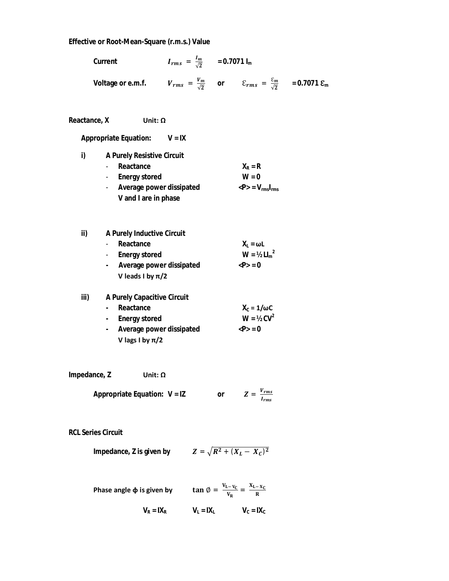#### **Effective or Root-Mean-Square (r.m.s.) Value**

|                                                                                                                            | Effective or Root-Mean-Square (r.m.s.) Value                                                                                     |                                                 |    |                                                                       |  |
|----------------------------------------------------------------------------------------------------------------------------|----------------------------------------------------------------------------------------------------------------------------------|-------------------------------------------------|----|-----------------------------------------------------------------------|--|
|                                                                                                                            | Current                                                                                                                          | $I_{rms} = \frac{I_m}{\sqrt{2}}$ = 0.7071 $I_m$ |    |                                                                       |  |
| Voltage or e.m.f. $V_{rms} = \frac{V_m}{\sqrt{2}}$ or $\epsilon_{rms} = \frac{\epsilon_m}{\sqrt{2}}$ = 0.7071 $\epsilon_m$ |                                                                                                                                  |                                                 |    |                                                                       |  |
| Reactance, X                                                                                                               | Unit: $\Omega$                                                                                                                   |                                                 |    |                                                                       |  |
|                                                                                                                            | <b>Appropriate Equation:</b>                                                                                                     | $V = IX$                                        |    |                                                                       |  |
| i)                                                                                                                         | <b>A Purely Resistive Circuit</b><br>- Reactance<br>- Energy stored<br>- Average power dissipated<br>V and I are in phase        |                                                 |    | $X_R = R$<br>$W = 0$<br>$\langle P \rangle = V_{\rm rms} I_{\rm rms}$ |  |
| ii)                                                                                                                        | A Purely Inductive Circuit<br>Reactance<br>- Energy stored<br>- Average power dissipated<br>V leads I by $\pi/2$                 |                                                 |    | $X_L = \omega L$<br>$W = 1/2$ $L I_m^2$<br>< P > 0                    |  |
| iii)                                                                                                                       | A Purely Capacitive Circuit<br>Reactance<br>$\mathbf{r}$<br>- Energy stored<br>- Average power dissipated<br>V lags I by $\pi/2$ |                                                 |    | $X_c = 1/\omega C$<br>$W = 1/2$ CV <sup>2</sup><br>< P > 0            |  |
| Impedance, Z                                                                                                               | Unit: $\Omega$                                                                                                                   |                                                 |    |                                                                       |  |
|                                                                                                                            | Appropriate Equation: $V = IZ$                                                                                                   |                                                 | or | $Z = \frac{V_{rms}}{I_{rms}}$                                         |  |
| <b>RCL Series Circuit</b>                                                                                                  |                                                                                                                                  |                                                 |    |                                                                       |  |

**Impedance, Z is given by** 
$$
Z = \sqrt{R^2 + (X_L - X_C)^2}
$$

| Phase angle $\varphi$ is given by | $\tan \emptyset = \frac{V_{L-V_C}}{V} = \frac{X_{L-X_C}}{Y}$ |              |
|-----------------------------------|--------------------------------------------------------------|--------------|
| $V_R = IX_R$                      | $V_1 = IX_1$                                                 | $V_c = IX_c$ |